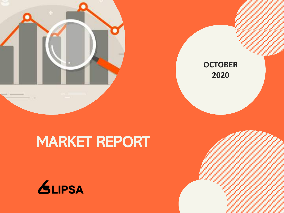



# MARKET REPORT

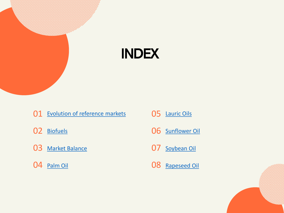

- 01 Evolution of [reference](#page-2-0) markets
- [Biofuels](#page-5-0)
- 03 Market [Balance](#page-8-0)
- [Palm Oil](#page-8-0)
- [Lauric](#page-12-0) Oils
- [Sunflower](#page-13-0) Oil
- [Soybean](#page-15-0) Oil
- [Rapeseed](#page-17-0) Oil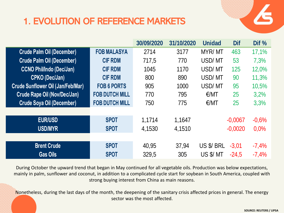# <span id="page-2-0"></span>1. EVOLUTION OF REFERENCE MARKETS



|                                          |                       | 30/09/2020 | 31/10/2020 | <b>Unidad</b> | <b>Dif</b> | Dif $%$ |
|------------------------------------------|-----------------------|------------|------------|---------------|------------|---------|
| <b>Crude Palm Oil (December)</b>         | <b>FOB MALASYA</b>    | 2714       | 3177       | MYR/MT        | 463        | 17,1%   |
| <b>Crude Palm Oil (December)</b>         | <b>CIF RDM</b>        | 717,5      | 770        | USD/MT        | 53         | 7,3%    |
| <b>CCNO Phil/Indo (Dec/Jan)</b>          | <b>CIF RDM</b>        | 1045       | 1170       | USD/MT        | 125        | 12,0%   |
| <b>CPKO (Dec/Jan)</b>                    | <b>CIF RDM</b>        | 800        | 890        | USD/MT        | 90         | 11,3%   |
| <b>Crude Sunflower Oil (Jan/Feb/Mar)</b> | <b>FOB 6 PORTS</b>    | 905        | 1000       | USD/MT        | 95         | 10,5%   |
| <b>Crude Rape Oil (Nov/Dec/Jan)</b>      | <b>FOB DUTCH MILL</b> | 770        | 795        | E/MT          | 25         | 3,2%    |
| <b>Crude Soya Oil (December)</b>         | <b>FOB DUTCH MILL</b> | 750        | 775        | E/MT          | 25         | 3,3%    |
|                                          |                       |            |            |               |            |         |
| <b>EUR/USD</b>                           | <b>SPOT</b>           | 1,1714     | 1,1647     |               | $-0,0067$  | $-0,6%$ |
| <b>USD/MYR</b>                           | <b>SPOT</b>           | 4,1530     | 4,1510     |               | $-0,0020$  | 0,0%    |
|                                          |                       |            |            |               |            |         |
| <b>Brent Crude</b>                       | <b>SPOT</b>           | 40,95      | 37,94      | US \$/ BRL    | $-3,01$    | $-7,4%$ |
| <b>Gas Oils</b>                          | <b>SPOT</b>           | 329.5      | 305        | US \$/ MT     | $-24.5$    | $-7,4%$ |

During October the upward trend that began in May continued for all vegetable oils. Production was below expectations, mainly in palm, sunflower and coconut, in addition to a complicated cycle start for soybean in South America, coupled with strong buying interest from China as main reasons.

Nonetheless, during the last days of the month, the deepening of the sanitary crisis affected prices in general. The energy sector was the most affected.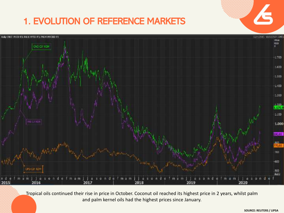# 1. EVOLUTION OF REFERENCE MARKETS



Tropical oils continued their rise in price in October. Coconut oil reached its highest price in 2 years, whilst palm and palm kernel oils had the highest prices since January.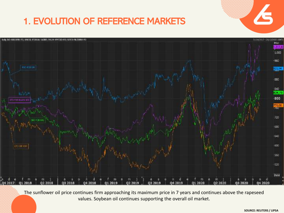# 1. EVOLUTION OF REFERENCE MARKETS



The sunflower oil price continues firm approaching its maximum price in 7 years and continues above the rapeseed values. Soybean oil continues supporting the overall oil market.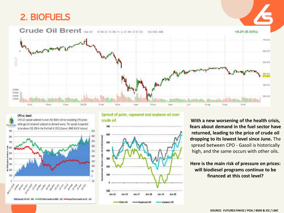#### <span id="page-5-0"></span>2. BIOFUELS



#### CPO vs. Gasol



Spread of palm, rapeseed and soybean oil over crude oil



**With a new worsening of the health crisis, fears about demand in the fuel sector have returned, leading to the price of crude oil dropping to its lowest level since June.** The spread between CPO - Gasoil is historically high, and the same occurs with other oils.

**Here is the main risk of pressure on prices: will biodiesel programs continue to be financed at this cost level?**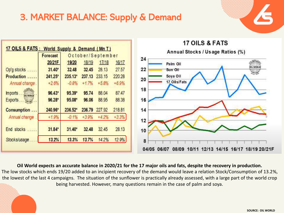#### 3. MARKET BALANCE: Supply & Demand



**HL WORL** 



**Oil World expects an accurate balance in 2020/21 for the 17 major oils and fats, despite the recovery in production.**  The low stocks which ends 19/20 added to an incipient recovery of the demand would leave a relation Stock/Consumption of 13.2%, the lowest of the last 4 campaigns. The situation of the sunflower is practically already assessed, with a large part of the world crop being harvested. However, many questions remain in the case of palm and soya.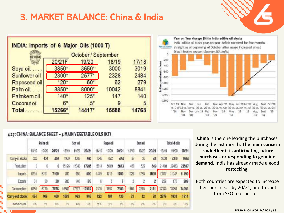#### 3. MARKET BALANCE: China & India

| October / September |        |        |       |       |  |  |  |  |  |
|---------------------|--------|--------|-------|-------|--|--|--|--|--|
|                     | 20/21F | 19/20  | 18/19 | 17/18 |  |  |  |  |  |
| Soya oil            | 3850*  | 3650*  | 3000  | 3019  |  |  |  |  |  |
| Sunflower oil       | 2300*  | 2577*  | 2328  | 2484  |  |  |  |  |  |
| Rapeseed oil        | $120*$ | $60*$  | 62    | 279   |  |  |  |  |  |
| Palm oil            | 8850*  | 8000*  | 10042 | 8841  |  |  |  |  |  |
| Palmkern oil.       | $140*$ | $125*$ | 147   | 140   |  |  |  |  |  |
| Coconut oil         | $6*$   | $5*$   | 9     | 5     |  |  |  |  |  |
| Total               | 15266* | 14417* | 15588 | 14768 |  |  |  |  |  |

#### Year on Year change (%) in India edible oil stocks India edible oil stock year-on-year deficit narowed for five months **Fairs OJ Analysiss** straight as of beginning of October after usage increased ahead Diwali festive season (Source: SEA India) -200 metric too  $-100$  $-600$ ٠  $-800$  $\frac{2}{8}$ -1000  $\frac{6}{2}$ -1200 E  $-1400$  $-1000$ Oct '19 Nov Dec Jan. Feb Mar Apr '20 May Jun'20 Jul '20 Aug Sept Oct '20 vs. Oct '15 vs. '19 vs. '20 vs. '20 vs. '20 vs. vs. Apr '20 vs. vs. Jun vs. Jul '20 vs. '20 vs. vs. Oct Dec Jan '19 Feb May '19  $'19$ Aug Sept Nov Mar  $19 -19$ '18  $18$  $19'$  $19$ 19 '19  $19.76$

#### 4.17: CHINA: BALANCE SHEET - 4 MAIN VEGETABLE OILS (KT)

|                  |       | Palm oil |       |       | Soy oil |             |       | Rape of |       |       | Sum oil |       |            | Total 4 olis |       |
|------------------|-------|----------|-------|-------|---------|-------------|-------|---------|-------|-------|---------|-------|------------|--------------|-------|
|                  | 18/10 | 19/20    | 20/21 | 18/19 | 1920    | 20/21       | 18/19 | 19/20   | 20/21 | 18419 | 19/20   | 20/21 | $8 + 9$    | 19/20        | 20/21 |
| Cary-in stocks   | 520   | 434      | 406   | 1939  | 1087    | 993         | 1045  | 822     | 494   | 27    | 33      | 42    | 3530       | 2376         | 1934  |
| Production       |       |          | 0     | 15126 | 16343   | 17205       | 5814  | 5619    | 5843  | 468   | 522     | 549   | 21408      | 22483        | 23597 |
| Imports          | 6795  | 6791     | 7100  | 783   | 980     | 800         | 1479  | 1718    | 1700  | 1020  | 1768    | 1590  | 10077      | 11247        | 11190 |
| Exports          | 31    | 30       | 30    | 200   | 倾       | 170         | f.    | 6       | 7     | 2     | 2       | 2     | 239        | 178          | 209   |
| Consumption      | 6850  | 6779     | 7076  | 16560 |         | 17277 17882 | 7509  | 7659    | 7600  | 1480  | 2278    |       | 2141 32399 | 33004        | 34698 |
| Carry-out stocks | 434   | 406      | 400   | 1087  | 鳉       | 945         | 822   | 494     | 430   | 33    | 42      | 38    | 2376       | 1934         | 1814  |
| \$300KS-T0-125B  | 軽     | 6%       | 统     | 滁     | 6%      | $55 - 50$   | 封架    | 6%      | 6%    | Pi)   | 26      | 话     | 7%         | 5%           | 3%    |
|                  |       |          |       |       |         |             |       |         |       |       |         |       |            |              |       |

**China** is the one leading the purchases during the last month. **The main concern is whether it is anticipating future purchases or responding to genuine demand.** India has already made a good restocking.

Both countries are expected to increase their purchases by 20/21, and to shift from SFO to other oils.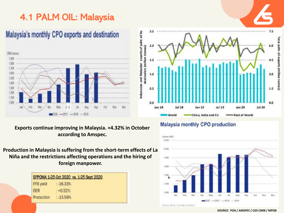### <span id="page-8-0"></span>4.1 PALM OIL: Malaysia

### Malaysia's monthly CPO exports and destination



**Exports continue improving in Malaysia. +4.32% in October according to Amspec.** 

**Production in Malaysia is suffering from the short-term effects of La Niña and the restrictions affecting operations and the hiring of foreign manpower.**

|            | SPPOMA 1-25 Oct 2020 vs. 1-25 Sept 2020 |  |
|------------|-----------------------------------------|--|
| FFB yield  | $: -16.33%$                             |  |
| OER        | $: +0.52%$                              |  |
| Production | $: -13.59%$                             |  |







#### **SOURCE: POA / AMSPEC / CGS CIMB / MPOB**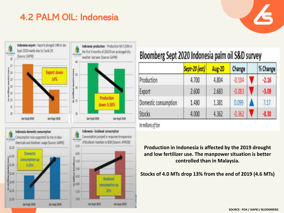#### 4.2 PALM OIL: Indonesia







Production

down 5.50%

# Bloomberg Sept 2020 Indonesia palm oil S&D survey

|                      | Sept-20 (est) | Aug-20 | Change   | % Change |
|----------------------|---------------|--------|----------|----------|
| Production           | 4.700         | 4.804  | $-0.104$ | $-2.16$  |
| Export               | 2.600         | 2.683  | $-0.083$ | $-3.09$  |
| Domestic consumption | 1.480         | 1.381  | 0.099    | 7.17     |
| <b>Stocks</b>        | 4.000         | 4.362  | $-0.362$ | $-8.30$  |

in millions of ton

**Production in Indonesia is affected by the 2019 drought and low fertilizer use. The manpower situation is better controlled than in Malaysia.**

**Stocks of 4.0 MTs drop 13% from the end of 2019 (4.6 MTs)**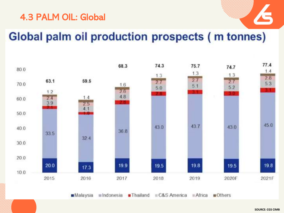#### 4.3 PALM OIL: Global



# Global palm oil production prospects (m tonnes)

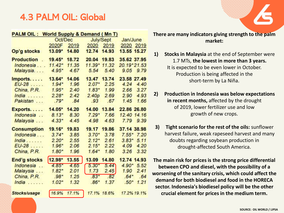#### 4.3 PALM OIL: Global

| <b>PALM OIL: World Supply &amp; Demand (Mn T)</b> |          |       |                   |             |                 |
|---------------------------------------------------|----------|-------|-------------------|-------------|-----------------|
|                                                   | Oct/Dec  |       |                   | July/Sept   | Jan/June        |
|                                                   | 2020F    | 2019  |                   | 2020 2019   | 2020 2019       |
| Op'g stocks                                       | $13.09*$ | 14.80 | 12.74             | 14.93       | 13.55 15.27     |
| <b>Production</b><br>$\mathbb{R}^2$               | $19.45*$ | 18.72 | 20.04             | 19.83       | 35.62 37.95     |
| Indonesia                                         | $11.42*$ | 11.35 | 11.39* 11.32      |             | 20.19*21.53     |
| Malaysia                                          | $4.95*$  | 4.67  | 5.54              | 5.40        | 9.05 9.79       |
| Imports                                           | $13.64*$ | 14.06 | 13.47 13.74       |             | 23.58 27.49     |
| $EU-28$                                           | $1.94*$  | 1.96  | $2.07*$           | 2.25        | 4.24<br>4.40    |
| China, P.R.                                       | $1.95*$  | 2.40  | $1.83*$           | 1.99        | 2.66<br>3.27    |
| India                                             | $2.28*$  | 2.42  | 2.40 <sub>p</sub> | 2.69        | 2.90<br>4.93    |
| Pakistan                                          | $.79*$   | .84   | .93.              | .67         | 1.45<br>1.66    |
| Exports                                           | 14.05*   | 14.20 | 14.00             | 13.84       | 22.86 26.80     |
| Indonesia                                         | $8.13*$  | 8.30  | $7.29*$           | 7.66        | 12.40 14.16     |
| Malaysia                                          | $4.33*$  | 4.45  | 4.98              | 4.63        | 7.79<br>9.39    |
| <b>Consumption</b>                                | $19.16*$ | 19.83 | 19.17             | 19.86       | 37.14 38.98     |
| Indonesia                                         | $3.74*$  | 3.85  | $3.70*$           | 3.78        | $7.55*7.20$     |
| India                                             | $2.20*$  | 2.55  | $2.12*$           | 2.61        | $3.83*$<br>5.11 |
| $EU-28$                                           | $1.96*$  | 2.06  | $2.15*$           | 2.22        | 4.09<br>4.20    |
| China, P.R.                                       | $1.80*$  | 1.96  | $1.64*$           | 1.80        | 3.26<br>3.32    |
| End'g stocks                                      | 12.98*   | 13.55 | 13.09             | 14.80       | 12.74 14.93     |
| Indonesia                                         | $4.85*$  | 4.65  | $5.30*$           | 5.44        | 5.52<br>$4.90*$ |
| Malaysia                                          | $1.82*$  | 2.01  | 1.73              | 2.45        | 1.90<br>2.41    |
| China, P.R.                                       | $.98*$   | 1.25  | $.83*$            | .82         | $.64*$<br>.64   |
| India $\ldots$                                    | $1.02*$  | 1.32  | $.86*$            | 1.37        | 1.21<br>$.50*$  |
| Stocks/usage                                      | 16.9%    | 17.1% |                   | 17.1% 18.6% | 17.2% 19.1%     |

**There are many indicators giving strength to the palm market:**

- **1) Stocks in Malaysia** at the end of September were 1.7 MTs, **the lowest in more than 3 years.**  It is expected to be even lower in October. Production is being affected in the short-term by La Niña.
- **2) Production in Indonesia was below expectations in recent months,** affected by the drought of 2019, lower fertilizer use and low growth of new crops.
- **3) Tight scenario for the rest of the oils:** sunflower harvest failure, weak rapeseed harvest and many doubts regarding soybean production in drought-affected South America.

**The main risk for prices is the strong price differential between CPO and diesel, with the possibility of a worsening of the sanitary crisis, which could affect the demand for both biodiesel and food in the HORECA sector. Indonesia's biodiesel policy will be the other crucial element for prices in the medium term.**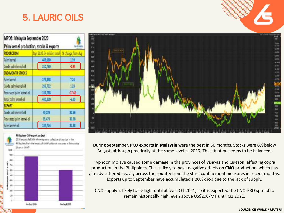### <span id="page-12-0"></span>5. LAURIC OILS

| MPOB: Malaysia September 2020<br>Palm kernel production, stocks & exports |                             |                   |  |  |  |  |  |
|---------------------------------------------------------------------------|-----------------------------|-------------------|--|--|--|--|--|
| <b>PRODUCTION</b>                                                         | Sept 2020 lin million tons! | % change from Aug |  |  |  |  |  |
| Palm keme                                                                 | 466,080                     | 139               |  |  |  |  |  |
| Crude palm kemel oil                                                      | 210,760                     | -194              |  |  |  |  |  |
| <b>END-MONTH STOCKS</b>                                                   |                             |                   |  |  |  |  |  |
| Palm kernel                                                               | 176,888                     | 724               |  |  |  |  |  |
| Crude palm kemel oil                                                      | 299,722                     | 123               |  |  |  |  |  |
| Processed palm kernel oil                                                 | 151,788                     | 17.42             |  |  |  |  |  |
| Total palm kemel oil                                                      | 445,510                     | 4.00              |  |  |  |  |  |
| <b>EXPORT</b>                                                             |                             |                   |  |  |  |  |  |
| Crude paim kemel oil                                                      | 49.239                      | 艾肠                |  |  |  |  |  |
| Processed palm kemel oil                                                  |                             | 30.58             |  |  |  |  |  |
| Palm kernel oil                                                           | 134,714                     | 31.58             |  |  |  |  |  |

#### Philippines CVD export Jan-Sept





During September, **PKO exports in Malaysia** were the best in 30 months. Stocks were 6% below August, although practically at the same level as 2019. The situation seems to be balanced.

Typhoon Molave caused some damage in the provinces of Visayas and Quezon, affecting copra production in the Philippines. This is likely to have negative effects on **CNO** production, which has already suffered heavily across the country from the strict confinement measures in recent months. Exports up to September have accumulated a 30% drop due to the lack of supply.

CNO supply is likely to be tight until at least Q1 2021, so it is expected the CNO-PKO spread to remain historically high, even above US\$200/MT until Q1 2021.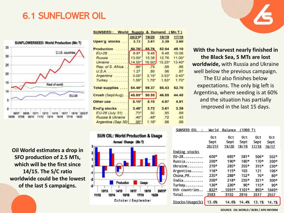#### <span id="page-13-0"></span>6.1 SUNFLOWER OIL



**Oil World estimates a drop in SFO production of 2.5 MTs, which will be the first since 14/15. The S/C ratio worldwide could be the lowest of the last 5 campaigns.** 

| SUNSEED: World Supply & Demand (Mn T) |                      |               |               |               |
|---------------------------------------|----------------------|---------------|---------------|---------------|
| Open'g stocks                         | 20/21F<br>3.72       | 19/20<br>3.61 | 18/19<br>3.39 | 17/18<br>3.60 |
|                                       |                      |               |               |               |
| <b>Production</b>                     | 50.76 55.76          |               | 52.04         | 49.10         |
| $EU-28$                               | 8.87                 | 9.48          | 9.48          | 10.06         |
| Russia  13.00*                        |                      | 15.38         | 12.76         | 11.00         |
| Ukraine  14.50*                       |                      | 16.50         | $15.25*$      | 13.40         |
| Rep. of S. Africa                     | $.90^{\circ}$        | .79           | .68           | .86           |
| U.S.A.                                | 1.27                 | .89.          | .96           | .97           |
| Argentina                             | $3.00*$              | 3.15"         | $3.53^*$      | 3.40          |
| $T$ urkey                             | 1.55"                | $1.70*$       | 1.53"         | 1.70          |
| Total supplies                        | $54.48$ <sup>*</sup> | 59.37         | 55.43         | 52.70         |
| Crush (Sept/Aug) 45.85*               |                      | 50.55         | 46.85         | 44.40         |
| Other use                             | $5.15*$              | 5.10          | 4.97          | 4.91          |
| End'g stocks                          | $3.48*$              | 3.72          | 3.61          | 3.39          |
| EU-28 (July 31)                       | $.73*$               | .92           | .85           | .89           |
| Russia & Ukraine                      | .40"                 | $.48^*$       | .72           | .43           |
| Argentina (Sep 30)                    | :95*                 | 1.16"         | .96           | .99           |



**With the harvest nearly finished in the Black Sea, 5 MTs are lost worldwide,** with Russia and Ukraine well below the previous campaign. The EU also finishes below expectations. The only big left is Argentina, where seeding is at 60% and the situation has partially improved in the last 15 days.

| <b>SUNSEED</b><br>$_{0}$ <sub>1</sub> | World  | Balance | (1000 T)    |        |        |
|---------------------------------------|--------|---------|-------------|--------|--------|
|                                       | Oct    | Oct     | Oct         | Oct    | 0ct    |
|                                       | Sept   | Sept    | Sept        | Sept   | Sept   |
|                                       | 20/21F | 19/20   | 18/19       | 17/18  | 16/17  |
| <b>Ending stocks</b>                  |        |         |             |        |        |
| EU-28                                 | $600*$ | 685*    | 581*        | $506*$ | $502*$ |
| Russia                                | 200*   | $190*$  | 180*        | $170*$ | 200*   |
| Ukraine                               | $270*$ | $285*$  | $355*$      | $315*$ | $230*$ |
| Argentina                             | $116*$ | $115*$  | 103         | 121    | 106*   |
| China, PR.                            | 235*   | $288*$  | $152*$      | $76*$  | $80*$  |
| India                                 | $200*$ | $218*$  | $255*$      | $321*$ | $300*$ |
| Turkey                                | $130*$ | $230*$  | $90*$       | $115*$ | $90*$  |
| Oth countries                         | 832*   | 1091*   | 1101*       | 893*   | 1049*  |
| $Total$                               | 2583   | 3102    | 2816        | 2517   | 2557   |
| Stocks/Usage(b)                       | 13.0%  |         | 14.6% 14.4% | 13.1%  | 14.1%  |

**SOURCE: OIL WORLD / BCBS / APK INFORM**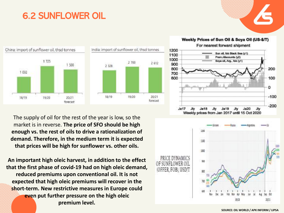### 6.2 SUNFLOWER OIL



India: import of sunflower oil, thsd tonnes  $2700$ 2 612  $19/20$  $20/21$ forecast

The supply of oil for the rest of the year is low, so the market is in reverse. **The price of SFO should be high enough vs. the rest of oils to drive a rationalization of demand. Therefore, in the medium term it is expected that prices will be high for sunflower vs. other oils.**

**An important high oleic harvest, in addition to the effect that the first phase of covid-19 had on high oleic demand, reduced premiums upon conventional oil. It is not expected that high oleic premiums will recover in the short-term. New restrictive measures in Europe could even put further pressure on the high oleic premium level.**





**SOURCE: OIL WORLD / APK INFORM / LIPSA**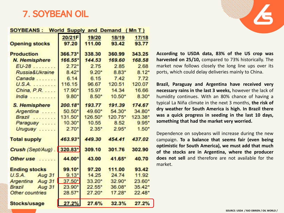#### <span id="page-15-0"></span>7. SOYBEAN OIL

#### SOYBEANS: World Supply and Demand (Mn T)

| <b>Opening stocks</b> | 20/21F<br>97.20      | 19/20<br>111.00 | 18/19<br>93.42 | 17/18<br>93.77 |
|-----------------------|----------------------|-----------------|----------------|----------------|
| <b>Production</b>     | 366.73*              | 338.30          | 360.99         | 343.25         |
| N. Hemisphere         | 166.55*              | 144.53          | 169.60         | 168.58         |
| $EU-28$               | $2.72*$              | 2.75            | 2.85           | 2.68           |
| Russia&Ukraine        | $8.42*$              | $9.20*$         | $8.83*$        | $8.12*$        |
| Canada                | 6.14                 | 6.15            | 7.42           | 7.72           |
| U.S.A.                | 116.15               | 96.67           | 120.51         | 120.07         |
| China, P.R.           | 17.90*               | 15.97           | 14.34          | 16.66          |
| $India$               | $9.80*$              | $8.50*$         | $10.50*$       | $8.30*$        |
| S. Hemisphere         | $200.18*$            | 193.77          | 191.39         | 174.67         |
| Argentina             | $50.50*$             | 49.60*          | 54.30*         | 34.80*         |
| Brazil                | $131.50^*$           | 126.50*         | 120.75*        | 123.38*        |
| Paraguay              | $10.30*$             | 10.55           | 8.52           | $9.95*$        |
| Uruguay $\ldots$ .    | $2.70*$              | $2.35*$         | $2.95*$        | $1.50*$        |
| <b>Total supply</b>   | 463.93*              | 449.30          | 454.41         | 437.02         |
| Crush (Sept/Aug).     | 320.83*              | 309.10          | 301.76         | 302.90         |
| Other use             | 44.00*               | 43.00           | 41.65*         | 40.70          |
| <b>Ending stocks</b>  | 99.10*               | 97.20           | 111.00         | 93.42          |
| U.S.A.<br>Aug 31      | $9.13*$              | 14.25           | 24.74          | 11.92          |
| Argentina Aug 31      | $37.50^*$            | $33.20*$        | $32.90*$       | $23.60*$       |
| Aug 31<br>Brazil      | 23.90*               | $22.55*$        | 36.08*         | $35.42*$       |
| Other countries       | $28.57$ <sup>*</sup> | $27.20*$        | 17.28*         | $22.48^*$      |
| Stocks/usage          | 27.2%                | 27.6%           | 32.3%          | 27.2%          |

**According to USDA data, 83% of the US crop was harvested on 25/10,** compared to 73% historically. The market now follows closely the long line ups over its ports, which could delay deliveries mainly to China.

**Brazil, Paraguay and Argentina have received very necessary rains in the last 3 weeks,** however the lack of humidity continues. With an 80% chance of having a typical La Niña climate in the next 3 months, **the risk of dry weather for South America is high. In Brazil there was a quick progress in seeding in the last 10 days, something that had the market very worried.**

Dependence on soybeans will increase during the new campaign. **To a balance that seems fair (even being optimistic for South America), we must add that much of the stocks are in Argentina, where the producer does not sell** and therefore are not available for the market.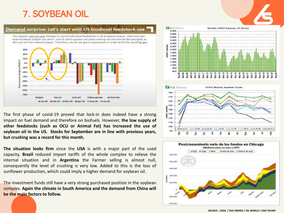#### 7. SOYBEAN OIL

#### Demand surprise: Let's start with US biodiesel feedstock use

This depicts year-on-year changes in use of individual feedstocks in US biodiesel output. Until mid-year total biodienel output was down. Use of yellow grease (recycled cooking sil) and animal fats plunged, as did corn oil from ethanol plants. Therefore, soy oil use grew impressively in order to fill the resulting gas.



The first phase of covid-19 proved that lock-in does indeed have a strong impact on fuel demand and therefore on biofuels. However, **the low supply of other feedstocks (such as OCU or Animal Fat) has increased the use of soybean oil in the US. Stocks for September are in line with previous years, but crushing was a record for this month.**

**The situation looks firm** since the **USA** is with a major part of the used capacity, **Brazil** reduced import tariffs of the whole complex to relieve the internal situation and in **Argentina** the Farmer selling is almost null, consequently the level of crushing is very low. Added to this is the loss of sunflower production, which could imply a higher demand for soybean oil.

The investment funds still have a very strong purchased position in the soybean complex. **Again the climate in South America and the demand from China will be the main factors to follow.**







**SOURCE: USDA / RJO OBRIEN / OIL WORLD / VAN TRUMP**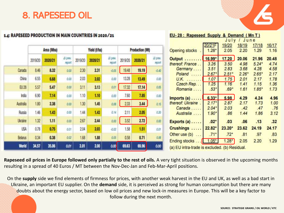#### <span id="page-17-0"></span>8. RAPESEED OIL

#### 1.4: RAPESEED PRODUCTION IN MAIN COUNTRIES IN 2020/21

|              |         | Area (Mha) |                    |         | Yield (t/ha) |                    |         | <b>Production (Mt)</b> |                    |  |  |
|--------------|---------|------------|--------------------|---------|--------------|--------------------|---------|------------------------|--------------------|--|--|
|              | 2019/20 | 2020/21    | Al prev.<br>report | 2019/20 | 2020/21      | A/ prev.<br>report | 2019/20 | 2020/21                | Al prev.<br>report |  |  |
| Canada       | 8.46    | 8.32       | 0.00               | 2.30    | 2.31         | $-0.05$            | 19.48   | 19.19                  | $-0.40$            |  |  |
| China        | 6.55    | 6.68       | 0.00               | 2.03    | 2.02         | 0.00               | 13.28   | 13.49                  | 0.00               |  |  |
| EU 28        | 5.57    | 5.47       | 0.00.              | 3.11    | 3.13         | 0.01               | 17.32   | 17.14                  | 0.05               |  |  |
| India        | 6.90    | 7.14       | 0.00               | 1.10    | 1.10         | 0.00               | 7.60    | 7.85                   | 0.00               |  |  |
| Australia    | 1.80    | 2.38       | 0.00               | 1.30    | 1.45         | 0.06               | 233     | 3.44                   | 0.15               |  |  |
| Russia       | 1.46    | 1.43       | 0.00               | 1.44    | 1.43         | 0.14               | 211     | 2.05                   | 0.20               |  |  |
| Ukraine      | 1.32    | 1.11       | 0.00               | 2.67    | 2.44         | 0.00               | 3.52    | 2.72                   | 0.00               |  |  |
| <b>USA</b>   | 0.78    | 0.75       | 0.01               | 2.04    | 2.03         | $-0.02$            | 1.58    | 1.51                   | 0.01               |  |  |
| Belarus      | 0.34    | 0.38       | 0.02               | 1.68    | 1.88         | 0.05               | 0.58    | 0.71                   | 0.06               |  |  |
| <b>World</b> | 34.57   | 35.06      | 0.01               | 2.01    | 2.00         | $a\omega$          | 69.63   | 69.96                  | 0.00               |  |  |

| EU-28: Rapeseed Supply & Demand (Mn T)        |          | July    | / June  |         |       |
|-----------------------------------------------|----------|---------|---------|---------|-------|
|                                               | 20/21F   | 19/20   | 18/19   | 17/18   | 16/17 |
| <b>Opening stocks</b>                         | 1.28     | 2.05    | 2.20    | 1.29    | 1.16  |
| Output                                        | 16.99*   | 17.20   | 20.06   | 21.96   | 20.48 |
| thereof: France                               | 3.26     | 3.50    | 4.98    | $5.24*$ | 4.74  |
| Germany                                       | 3.51     | 2.83    | 3.68    | 4.28    | 4.58  |
| Poland                                        | $2.67*$  | $2.51*$ | $2.26*$ | $2.65*$ | 2.17  |
| U.K.                                          | 1.07     | 1.75    | 2.01    | 2.17    | 1.78  |
| Czech Rep                                     | 1.25     | 1.16    | 1.41    | 1.15    | 1.36  |
| Romania                                       | $.53*$   | $.69*$  | 1.61    | $1.85*$ | 1.73  |
| Imports $(a)$                                 | $6.33*$  | 5.98    | 4.29    | 4.24    | 4.96  |
| thereof: Ukraine.                             | $2.17*$  | 2.87    | 2.17    | 1.73    | 1.00  |
| Canada                                        | $2.04*$  | 2.03    | .42     | .47     | .76   |
| Australia                                     | $1.90^+$ | .86     | 1.44    | 1.86    | 3.12  |
| Exports $(a)$                                 | $.02*$   | .03     | .06     | .13     | .32   |
| Crushings                                     | $22.82*$ | 23.20*  | 23.62   | 24.19   | 24.17 |
| Other use (b)<br>1.121                        | $.71*$   | $.72*$  | .81     | .97     | .83   |
| Ending stocks                                 | $1.05*$  | $1.28*$ | 2.05    | 2.20    | 1.29  |
| (a) EU intra-trade is excluded. (b) Residual. |          |         |         |         |       |

**Rapeseed oil prices in Europe followed only partially to the rest of oils.** A very tight situation is observed in the upcoming months resulting in a spread of 40 Euros / MT between the Nov-Dec-Jan and Feb-Mar-April positions.

On the **supply** side we find elements of firmness for prices, with another weak harvest in the EU and UK, as well as a bad start in Ukraine, an important EU supplier. On the **demand** side, it is perceived as strong for human consumption but there are many doubts about the energy sector, based on low oil prices and new lock-in measures in Europe. This will be a key factor to follow during the next month.